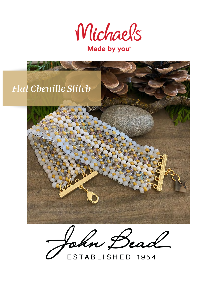

# Made by you<sup>\*</sup>



John Bead

ESTABLISHED 1954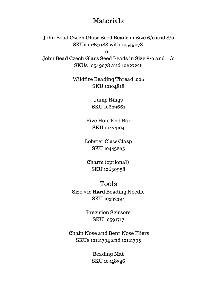### Materials

John Bead Czech Glass Seed Beads in Size 6/0 and 8/0 SKUs 10627188 with 10549078

or John Bead Czech Glass Seed Beads in Size 8/0 and 11/0 SKUs 10549078 and 10627226

> Wildfire Beading Thread .006 SKU 10104818

> > Jump Rings SKU 10629661

Five Hole End Bar SKU 10474104

Lobster Claw Clasp SKU 10443265

Charm (optional) SKU 10630958

Tools Size #10 Hard Beading Needle SKU 10332394

> Precision Scissors SKU 10591717

 Chain Nose and Bent Nose Pliers SKUs 10121794 and 10121795

> Beading Mat SKU 10348546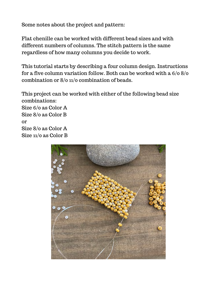Some notes about the project and pattern:

Flat chenille can be worked with different bead sizes and with different numbers of columns. The stitch pattern is the same regardless of how many columns you decide to work.

This tutorial starts by describing a four column design. Instructions for a five column variation follow. Both can be worked with a 6/0 8/0 combination or 8/0 11/0 combination of beads.

This project can be worked with either of the following bead size combinations: Size 6/0 as Color A Size 8/0 as Color B or Size 8/0 as Color A Size 11/0 as Color B

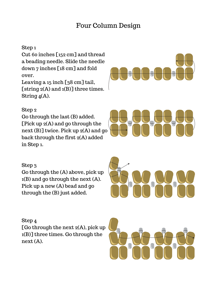### Four Column Design

#### Step 1

Cut 60 inches [152 cm] and thread a beading needle. Slide the needle down 7 inches [18 cm] and fold over.

Leaving a 15 inch [38 cm] tail, [string 2(A) and 1(B)] three times. String 4(A).

### Step 2

Go through the last (B) added. [Pick up 2(A) and go through the next (B)] twice. Pick up 2(A) and go back through the first 2(A) added in Step 1.

#### Step 3

Go through the (A) above, pick up 1(B) and go through the next (A). Pick up a new (A) bead and go through the (B) just added.

#### Step 4

[Go through the next  $2(A)$ , pick up 1(B)] three times. Go through the next (A).





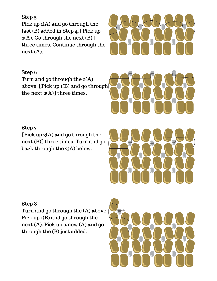Step 5 Pick up 1(A) and go through the last (B) added in Step 4. [Pick up 2(A). Go through the next (B)] three times. Continue through the next (A).

Step 6 Turn and go through the 2(A) above. [Pick up 1(B) and go through the next 2(A)] three times.



Step 7 [Pick up 2(A) and go through the next (B)] three times. Turn and go back through the 2(A) below.

Step 8

Turn and go through the (A) above. Pick up 1(B) and go through the next (A). Pick up a new (A) and go through the (B) just added.

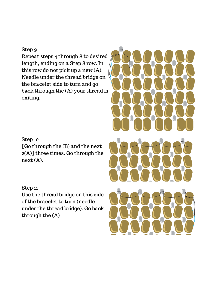#### Step 9

Repeat steps 4 through 8 to desired length, ending on a Step 8 row. In this row do not pick up a new (A). Needle under the thread bridge on the bracelet side to turn and go back through the (A) your thread is exiting.

#### Step 10

[Go through the (B) and the next 2(A)] three times. Go through the next (A).

#### Step 11

Use the thread bridge on this side of the bracelet to turn (needle under the thread bridge). Go back through the (A)

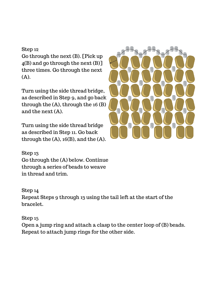#### Step 12

Go through the next (B). [Pick up 4(B) and go through the next (B)] three times. Go through the next (A).

Turn using the side thread bridge, as described in Step 9, and go back through the (A), through the 16 (B) and the next (A).

Turn using the side thread bridge as described in Step 11. Go back through the  $(A)$ , 16 $(B)$ , and the  $(A)$ .



Step 13 Go through the (A) below. Continue through a series of beads to weave in thread and trim.

#### Step 14

Repeat Steps 9 through 13 using the tail left at the start of the bracelet.

#### Step 15

Open a jump ring and attach a clasp to the center loop of (B) beads. Repeat to attach jump rings for the other side.